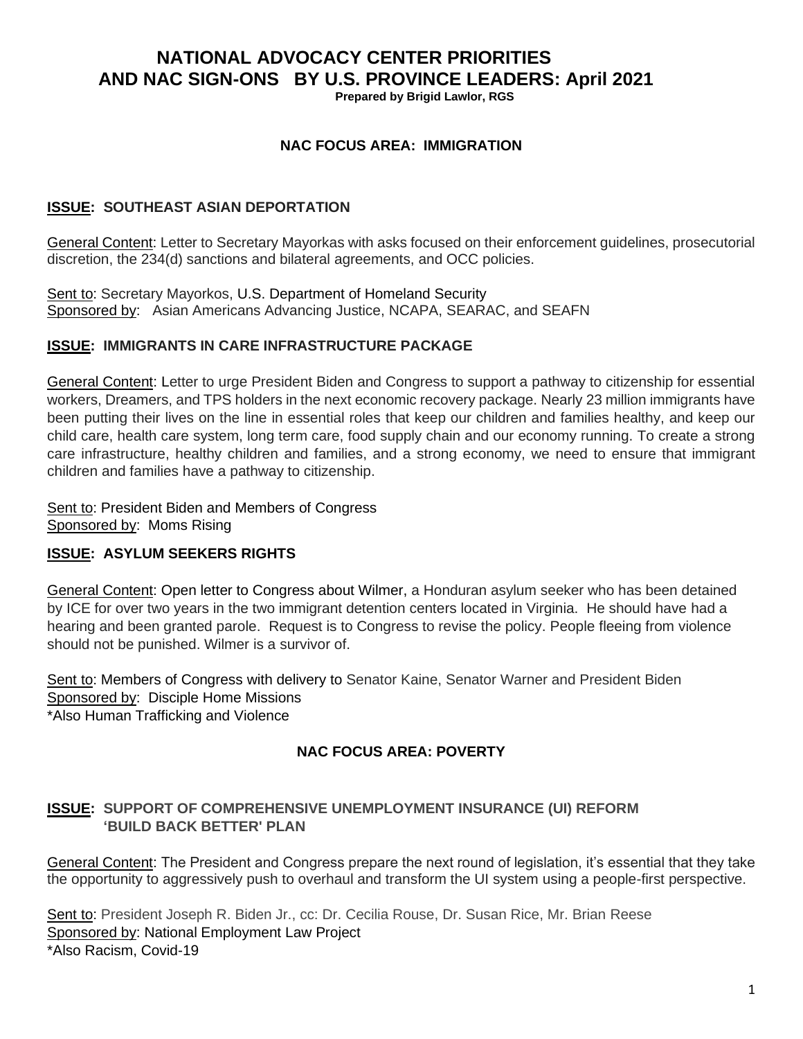# **NATIONAL ADVOCACY CENTER PRIORITIES AND NAC SIGN-ONS BY U.S. PROVINCE LEADERS: April 2021**

**Prepared by Brigid Lawlor, RGS**

## **NAC FOCUS AREA: IMMIGRATION**

#### **ISSUE: SOUTHEAST ASIAN DEPORTATION**

General Content: Letter to Secretary Mayorkas with asks focused on their enforcement guidelines, prosecutorial discretion, the 234(d) sanctions and bilateral agreements, and OCC policies.

Sent to: Secretary Mayorkos, U.S. Department of Homeland Security Sponsored by: Asian Americans Advancing Justice, NCAPA, SEARAC, and SEAFN

#### **ISSUE: IMMIGRANTS IN CARE INFRASTRUCTURE PACKAGE**

General Content: Letter to urge President Biden and Congress to support a pathway to citizenship for essential workers, Dreamers, and TPS holders in the next economic recovery package. Nearly 23 million immigrants have been putting their lives on the line in essential roles that keep our children and families healthy, and keep our child care, health care system, long term care, food supply chain and our economy running. To create a strong care infrastructure, healthy children and families, and a strong economy, we need to ensure that immigrant children and families have a pathway to citizenship.

Sent to: President Biden and Members of Congress Sponsored by: Moms Rising

## **ISSUE: ASYLUM SEEKERS RIGHTS**

General Content: Open letter to Congress about Wilmer, a Honduran asylum seeker who has been detained by ICE for over two years in the two immigrant detention centers located in Virginia. He should have had a hearing and been granted parole. Request is to Congress to revise the policy. People fleeing from violence should not be punished. Wilmer is a survivor of.

Sent to: Members of Congress with delivery to Senator Kaine, Senator Warner and President Biden Sponsored by: Disciple Home Missions \*Also Human Trafficking and Violence

# **NAC FOCUS AREA: POVERTY**

## **ISSUE: SUPPORT OF COMPREHENSIVE UNEMPLOYMENT INSURANCE (UI) REFORM 'BUILD BACK BETTER' PLAN**

General Content: The President and Congress prepare the next round of legislation, it's essential that they take the opportunity to aggressively push to overhaul and transform the UI system using a people-first perspective.

Sent to: President Joseph R. Biden Jr., cc: Dr. Cecilia Rouse, Dr. Susan Rice, Mr. Brian Reese Sponsored by: National Employment Law Project \*Also Racism, Covid-19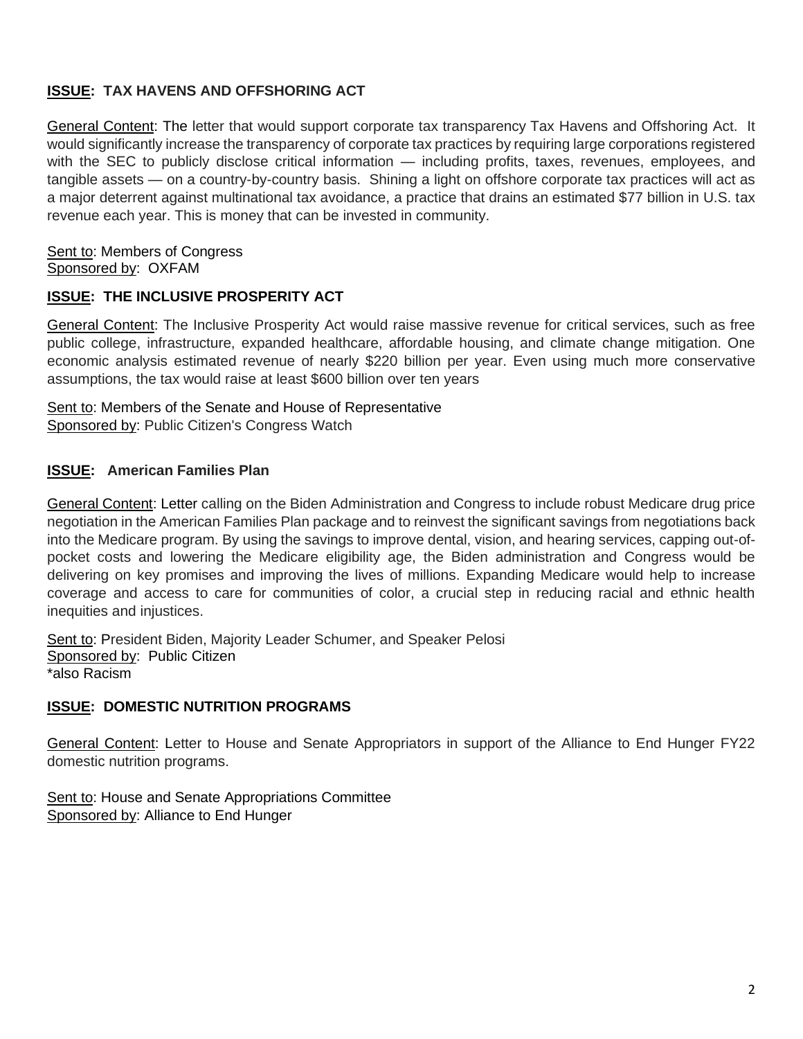# **ISSUE: TAX HAVENS AND OFFSHORING ACT**

General Content: The letter that would support corporate tax transparency Tax Havens and Offshoring Act. It would significantly increase the transparency of corporate tax practices by requiring large corporations registered with the SEC to publicly disclose critical information — including profits, taxes, revenues, employees, and tangible assets — on a country-by-country basis. Shining a light on offshore corporate tax practices will act as a major deterrent against multinational tax avoidance, a practice that drains an estimated \$77 billion in U.S. tax revenue each year. This is money that can be invested in community.

Sent to: Members of Congress Sponsored by: OXFAM

## **ISSUE: THE INCLUSIVE PROSPERITY ACT**

General Content: The Inclusive Prosperity Act would raise massive revenue for critical services, such as free public college, infrastructure, expanded healthcare, affordable housing, and climate change mitigation. One economic analysis estimated revenue of nearly \$220 billion per year. Even using much more conservative assumptions, the tax would raise at least \$600 billion over ten years

Sent to: Members of the Senate and House of Representative Sponsored by: Public Citizen's Congress Watch

## **ISSUE: American Families Plan**

General Content: Letter calling on the Biden Administration and Congress to include robust Medicare drug price negotiation in the American Families Plan package and to reinvest the significant savings from negotiations back into the Medicare program. By using the savings to improve dental, vision, and hearing services, capping out-ofpocket costs and lowering the Medicare eligibility age, the Biden administration and Congress would be delivering on key promises and improving the lives of millions. Expanding Medicare would help to increase coverage and access to care for communities of color, a crucial step in reducing racial and ethnic health inequities and injustices.

Sent to: President Biden, Majority Leader Schumer, and Speaker Pelosi Sponsored by: Public Citizen \*also Racism

## **ISSUE: DOMESTIC NUTRITION PROGRAMS**

General Content: Letter to House and Senate Appropriators in support of the Alliance to End Hunger FY22 domestic nutrition programs.

Sent to: House and Senate Appropriations Committee Sponsored by: Alliance to End Hunger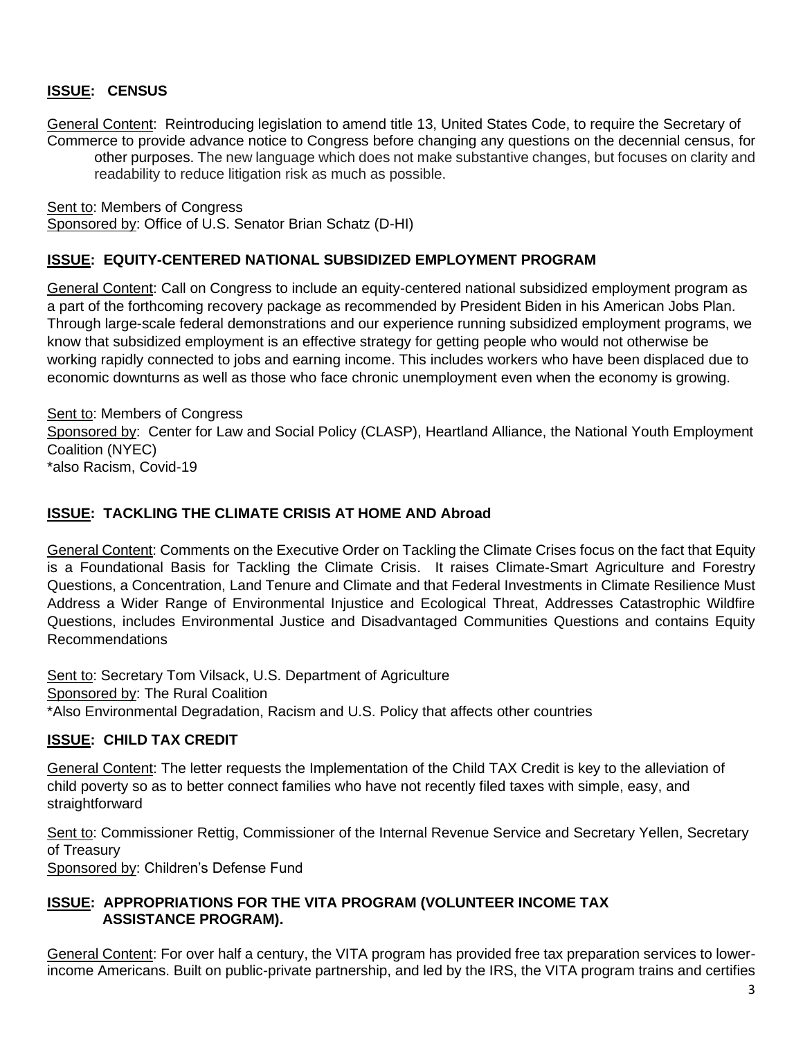# **ISSUE: CENSUS**

General Content: Reintroducing legislation to amend title 13, United States Code, to require the Secretary of Commerce to provide advance notice to Congress before changing any questions on the decennial census, for other purposes. The new language which does not make substantive changes, but focuses on clarity and readability to reduce litigation risk as much as possible.

Sent to: Members of Congress Sponsored by: Office of U.S. Senator Brian Schatz (D-HI)

# **ISSUE: EQUITY-CENTERED NATIONAL SUBSIDIZED EMPLOYMENT PROGRAM**

General Content: Call on Congress to include an [equity-centered national subsidized employment](https://nationalinitiatives.issuelab.org/resource/framework-for-an-equity-centered-national-subsidized-employment-program.html) program as a part of the forthcoming recovery package as recommended by President Biden in his American Jobs Plan. Through large-scale federal demonstrations and our experience running subsidized employment programs, we know that subsidized employment is an effective strategy for getting people who would not otherwise be working rapidly connected to jobs and earning income. This includes workers who have been displaced due to economic downturns as well as those who face chronic unemployment even when the economy is growing.

Sent to: Members of Congress Sponsored by: Center for Law and Social Policy (CLASP), Heartland Alliance, the National Youth Employment Coalition (NYEC) \*also Racism, Covid-19

## **ISSUE: TACKLING THE CLIMATE CRISIS AT HOME AND Abroad**

General Content: Comments on the Executive Order on Tackling the Climate Crises focus on the fact that Equity is a Foundational Basis for Tackling the Climate Crisis. It raises Climate-Smart Agriculture and Forestry Questions, a Concentration, Land Tenure and Climate and that Federal Investments in Climate Resilience Must Address a Wider Range of Environmental Injustice and Ecological Threat, Addresses Catastrophic Wildfire Questions, includes Environmental Justice and Disadvantaged Communities Questions and contains Equity Recommendations

Sent to: Secretary Tom Vilsack, U.S. Department of Agriculture Sponsored by: The Rural Coalition \*Also Environmental Degradation, Racism and U.S. Policy that affects other countries

# **ISSUE: CHILD TAX CREDIT**

General Content: The letter requests the Implementation of the Child TAX Credit is key to the alleviation of child poverty so as to better connect families who have not recently filed taxes with simple, easy, and straightforward

Sent to: Commissioner Rettig, Commissioner of the Internal Revenue Service and Secretary Yellen, Secretary of Treasury

Sponsored by: Children's Defense Fund

## **ISSUE: APPROPRIATIONS FOR THE VITA PROGRAM (VOLUNTEER INCOME TAX ASSISTANCE PROGRAM).**

General Content: For over half a century, the VITA program has provided free tax preparation services to lowerincome Americans. Built on public-private partnership, and led by the IRS, the VITA program trains and certifies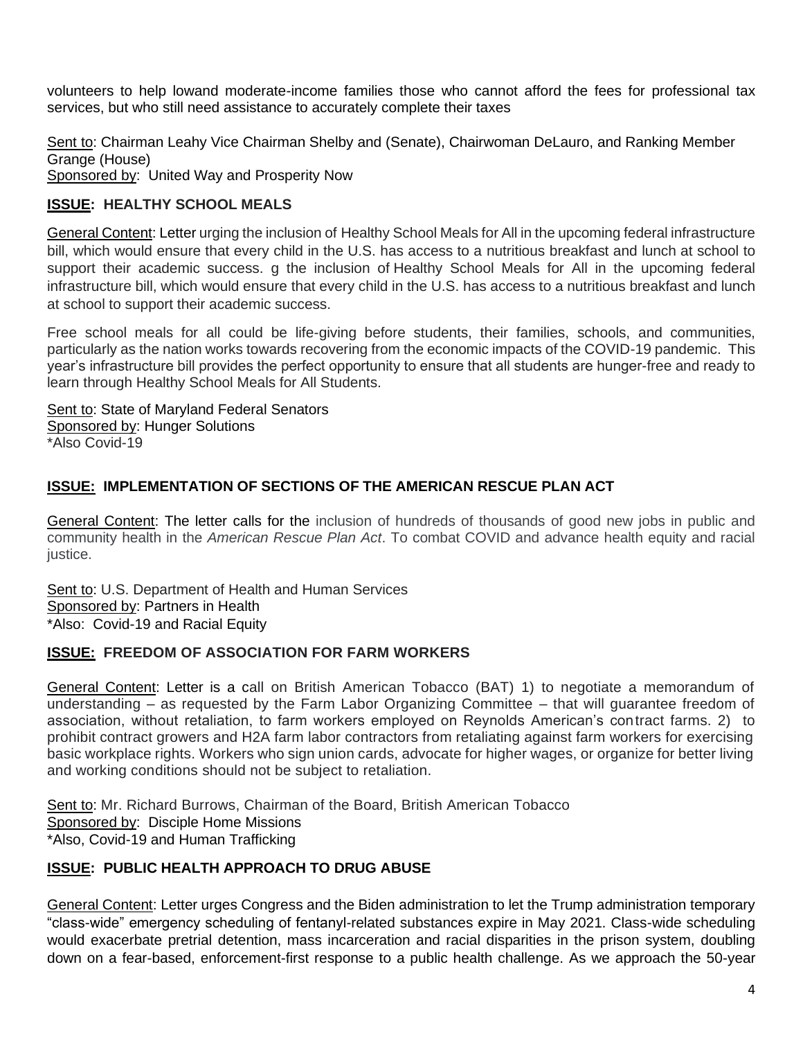volunteers to help lowand moderate-income families those who cannot afford the fees for professional tax services, but who still need assistance to accurately complete their taxes

Sent to: Chairman Leahy Vice Chairman Shelby and (Senate), Chairwoman DeLauro, and Ranking Member Grange (House)

Sponsored by: United Way and Prosperity Now

# **ISSUE: HEALTHY SCHOOL MEALS**

General Content: Letter urging the inclusion of Healthy School Meals for All in the upcoming federal infrastructure bill, which would ensure that every child in the U.S. has access to a nutritious breakfast and lunch at school to support their academic success. g the inclusion of Healthy School Meals for All in the upcoming federal infrastructure bill, which would ensure that every child in the U.S. has access to a nutritious breakfast and lunch at school to support their academic success.

Free school meals for all could be life-giving before students, their families, schools, and communities, particularly as the nation works towards recovering from the economic impacts of the COVID-19 pandemic. This year's infrastructure bill provides the perfect opportunity to ensure that all students are hunger-free and ready to learn through Healthy School Meals for All Students.

Sent to: State of Maryland Federal Senators Sponsored by: Hunger Solutions \*Also Covid-19

# **ISSUE: IMPLEMENTATION OF SECTIONS OF THE AMERICAN RESCUE PLAN ACT**

General Content: The letter calls for the inclusion of hundreds of thousands of good new jobs in public and community health in the *American Rescue Plan Act*. To combat COVID and advance health equity and racial justice.

Sent to: U.S. Department of Health and Human Services Sponsored by: Partners in Health \*Also: Covid-19 and Racial Equity

## **ISSUE: FREEDOM OF ASSOCIATION FOR FARM WORKERS**

General Content: Letter is a call on British American Tobacco (BAT) 1) to negotiate a memorandum of understanding – as requested by the Farm Labor Organizing Committee – that will guarantee freedom of association, without retaliation, to farm workers employed on Reynolds American's contract farms. 2) to prohibit contract growers and H2A farm labor contractors from retaliating against farm workers for exercising basic workplace rights. Workers who sign union cards, advocate for higher wages, or organize for better living and working conditions should not be subject to retaliation.

Sent to: Mr. Richard Burrows, Chairman of the Board, British American Tobacco Sponsored by: Disciple Home Missions \*Also, Covid-19 and Human Trafficking

# **ISSUE: PUBLIC HEALTH APPROACH TO DRUG ABUSE**

General Content: Letter urges Congress and the Biden administration to let the Trump administration temporary "class-wide" emergency scheduling of fentanyl-related substances expire in May 2021. Class-wide scheduling would exacerbate pretrial detention, mass incarceration and racial disparities in the prison system, doubling down on a fear-based, enforcement-first response to a public health challenge. As we approach the 50-year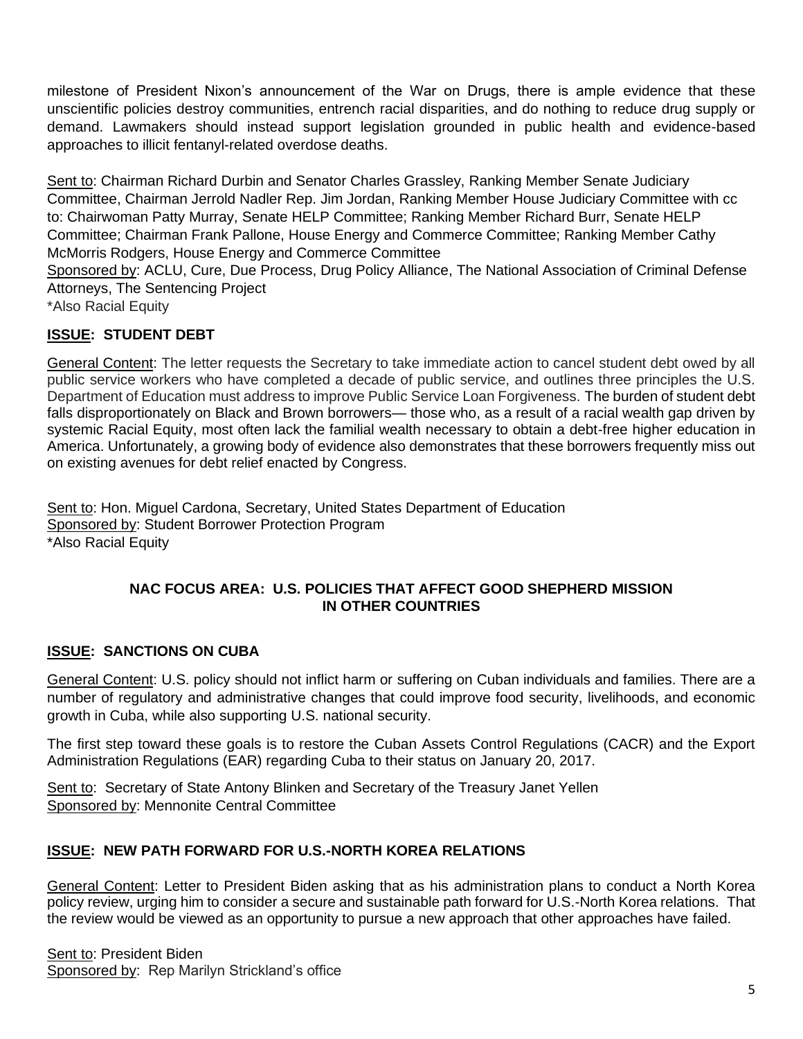milestone of President Nixon's announcement of the War on Drugs, there is ample evidence that these unscientific policies destroy communities, entrench racial disparities, and do nothing to reduce drug supply or demand. Lawmakers should instead support legislation grounded in public health and evidence-based approaches to illicit fentanyl-related overdose deaths.

Sent to: Chairman Richard Durbin and Senator Charles Grassley, Ranking Member Senate Judiciary Committee, Chairman Jerrold Nadler Rep. Jim Jordan, Ranking Member House Judiciary Committee with cc to: Chairwoman Patty Murray, Senate HELP Committee; Ranking Member Richard Burr, Senate HELP Committee; Chairman Frank Pallone, House Energy and Commerce Committee; Ranking Member Cathy McMorris Rodgers, House Energy and Commerce Committee Sponsored by: ACLU, Cure, Due Process, Drug Policy Alliance, The National Association of Criminal Defense

Attorneys, The Sentencing Project

\*Also Racial Equity

# **ISSUE: STUDENT DEBT**

General Content: The letter requests the Secretary to take immediate action to cancel student debt owed by all public service workers who have completed a decade of public service, and outlines three principles the U.S. Department of Education must address to improve Public Service Loan Forgiveness. The burden of student debt falls disproportionately on Black and Brown borrowers— those who, as a result of a racial wealth gap driven by systemic Racial Equity, most often lack the familial wealth necessary to obtain a debt-free higher education in America. Unfortunately, a growing body of evidence also demonstrates that these borrowers frequently miss out on existing avenues for debt relief enacted by Congress.

Sent to: Hon. Miguel Cardona, Secretary, United States Department of Education Sponsored by: Student Borrower Protection Program \*Also Racial Equity

# **NAC FOCUS AREA: U.S. POLICIES THAT AFFECT GOOD SHEPHERD MISSION IN OTHER COUNTRIES**

# **ISSUE: SANCTIONS ON CUBA**

General Content: U.S. policy should not inflict harm or suffering on Cuban individuals and families. There are a number of regulatory and administrative changes that could improve food security, livelihoods, and economic growth in Cuba, while also supporting U.S. national security.

The first step toward these goals is to restore the Cuban Assets Control Regulations (CACR) and the Export Administration Regulations (EAR) regarding Cuba to their status on January 20, 2017.

Sent to: Secretary of State Antony Blinken and Secretary of the Treasury Janet Yellen Sponsored by: Mennonite Central Committee

# **ISSUE: NEW PATH FORWARD FOR U.S.-NORTH KOREA RELATIONS**

General Content: Letter to President Biden asking that as his administration plans to conduct a North Korea policy review, urging him to consider a secure and sustainable path forward for U.S.-North Korea relations. That the review would be viewed as an opportunity to pursue a new approach that other approaches have failed.

Sent to: President Biden Sponsored by: Rep Marilyn Strickland's office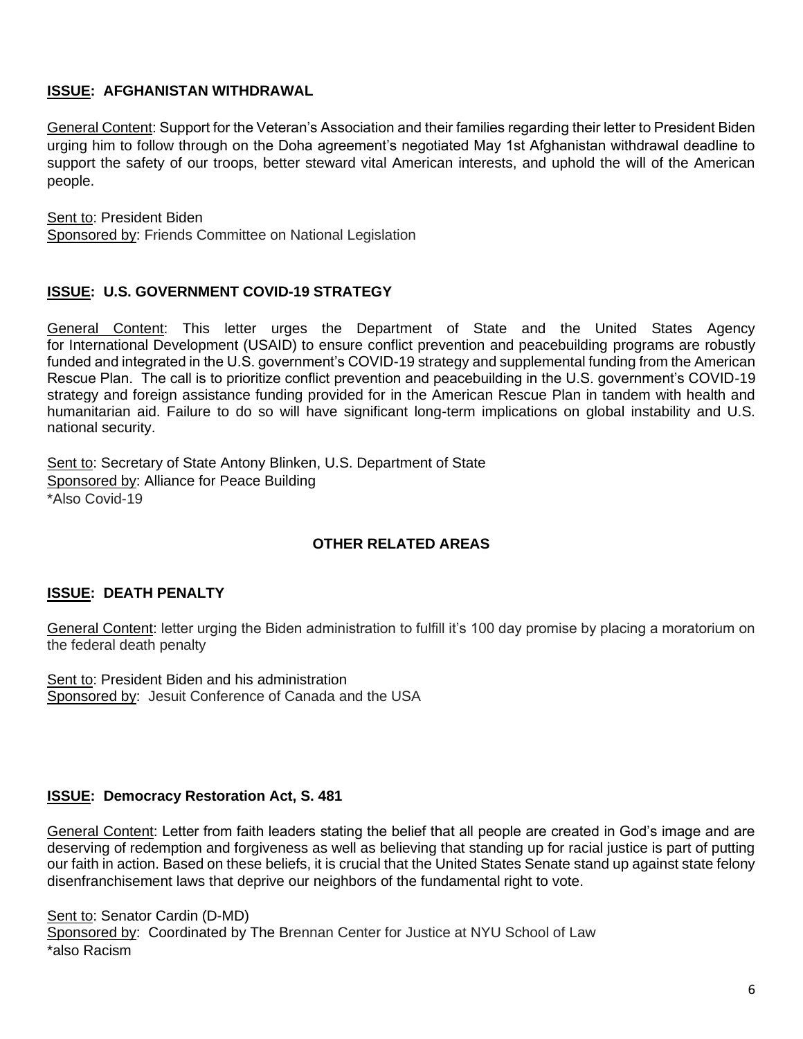## **ISSUE: AFGHANISTAN WITHDRAWAL**

General Content: Support for the Veteran's Association and their families regarding their letter to President Biden urging him to follow through on the Doha agreement's negotiated May 1st Afghanistan withdrawal deadline to support the safety of our troops, better steward vital American interests, and uphold the will of the American people.

Sent to: President Biden Sponsored by: Friends Committee on National Legislation

## **ISSUE: U.S. GOVERNMENT COVID-19 STRATEGY**

General Content: This letter urges the Department of State and the United States Agency for International Development (USAID) to ensure conflict prevention and peacebuilding programs are robustly funded and integrated in the U.S. government's COVID-19 strategy and supplemental funding from the American Rescue Plan. The call is to prioritize conflict prevention and peacebuilding in the U.S. government's COVID-19 strategy and foreign assistance funding provided for in the American Rescue Plan in tandem with health and humanitarian aid. Failure to do so will have significant long-term implications on global instability and U.S. national security.

Sent to: Secretary of State Antony Blinken, U.S. Department of State Sponsored by: Alliance for Peace Building \*Also Covid-19

# **OTHER RELATED AREAS**

# **ISSUE: DEATH PENALTY**

General Content: letter urging the Biden administration to fulfill it's 100 day promise by placing a moratorium on the federal death penalty

Sent to: President Biden and his administration Sponsored by: Jesuit Conference of Canada and the USA

## **ISSUE: Democracy Restoration Act, S. 481**

General Content: Letter from faith leaders stating the belief that all people are created in God's image and are deserving of redemption and forgiveness as well as believing that standing up for racial justice is part of putting our faith in action. Based on these beliefs, it is crucial that the United States Senate stand up against state felony disenfranchisement laws that deprive our neighbors of the fundamental right to vote.

Sent to: Senator Cardin (D-MD) Sponsored by: Coordinated by The Brennan Center for Justice at NYU School of Law \*also Racism